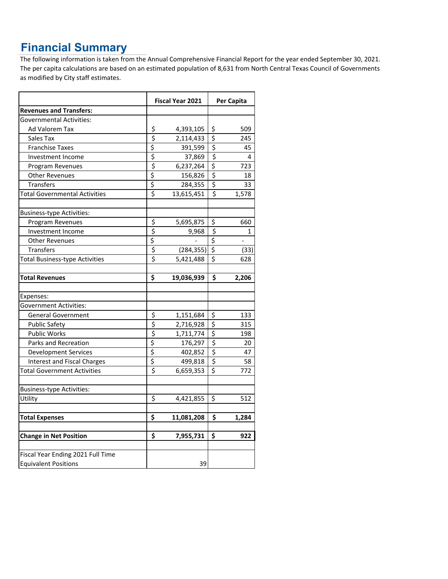## **Financial Summary**

The following information is taken from the Annual Comprehensive Financial Report for the year ended September 30, 2021. The per capita calculations are based on an estimated population of 8,631 from North Central Texas Council of Governments as modified by City staff estimates.

|                                       |                                     | Fiscal Year 2021 |                                 | Per Capita               |  |
|---------------------------------------|-------------------------------------|------------------|---------------------------------|--------------------------|--|
| <b>Revenues and Transfers:</b>        |                                     |                  |                                 |                          |  |
| Governmental Activities:              |                                     |                  |                                 |                          |  |
| Ad Valorem Tax                        | \$                                  | 4,393,105        | \$                              | 509                      |  |
| Sales Tax                             | \$                                  | 2,114,433        | $\overline{\xi}$                | 245                      |  |
| <b>Franchise Taxes</b>                | \$                                  | 391,599          | $\overline{\xi}$                | 45                       |  |
| Investment Income                     | \$                                  | 37,869           | $\overline{\xi}$                | 4                        |  |
| Program Revenues                      | \$                                  | 6,237,264        | $\overline{\mathsf{S}}$         | 723                      |  |
| <b>Other Revenues</b>                 | $\overline{\xi}$                    | 156,826          | $\overline{\mathcal{S}}$        | 18                       |  |
| Transfers                             | \$                                  | 284,355          | \$                              | 33                       |  |
| <b>Total Governmental Activities</b>  | \$                                  | 13,615,451       | \$                              | 1,578                    |  |
| <b>Business-type Activities:</b>      |                                     |                  |                                 |                          |  |
| Program Revenues                      | \$                                  | 5,695,875        | \$                              | 660                      |  |
| Investment Income                     | \$                                  | 9,968            | $\zeta$                         | 1                        |  |
| <b>Other Revenues</b>                 | \$                                  |                  | \$                              | $\overline{\phantom{a}}$ |  |
| <b>Transfers</b>                      | \$                                  | (284, 355)       | $\overline{\boldsymbol{\zeta}}$ | (33)                     |  |
| <b>Total Business-type Activities</b> | $\overline{\boldsymbol{\varsigma}}$ | 5,421,488        | \$                              | 628                      |  |
| <b>Total Revenues</b>                 | Ś                                   | 19,036,939       | \$                              | 2,206                    |  |
| Expenses:                             |                                     |                  |                                 |                          |  |
| <b>Government Activities:</b>         |                                     |                  |                                 |                          |  |
| <b>General Government</b>             | \$                                  | 1,151,684        | \$                              | 133                      |  |
| <b>Public Safety</b>                  | $\overline{\boldsymbol{\varsigma}}$ | 2,716,928        | $\overline{\xi}$                | 315                      |  |
| <b>Public Works</b>                   | $\overline{\xi}$                    | 1,711,774        | \$                              | 198                      |  |
| Parks and Recreation                  | \$                                  | 176,297          | $\overline{\varsigma}$          | 20                       |  |
| <b>Development Services</b>           | $\overline{\xi}$                    | 402,852          | $\overline{\mathcal{S}}$        | 47                       |  |
| <b>Interest and Fiscal Charges</b>    | \$                                  | 499,818          | \$                              | 58                       |  |
| <b>Total Government Activities</b>    | $\overline{\boldsymbol{\varsigma}}$ | 6,659,353        | Ś                               | 772                      |  |
| Business-type Activities:             |                                     |                  |                                 |                          |  |
| Utility                               | \$                                  | 4,421,855        | \$                              | 512                      |  |
| <b>Total Expenses</b>                 | \$                                  | 11,081,208       | \$                              | 1,284                    |  |
| <b>Change in Net Position</b>         | \$                                  | 7,955,731        | \$                              | 922                      |  |
| Fiscal Year Ending 2021 Full Time     |                                     |                  |                                 |                          |  |
| <b>Equivalent Positions</b>           |                                     | 39               |                                 |                          |  |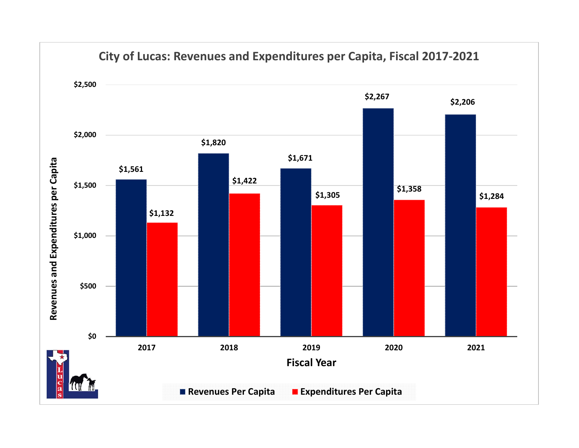